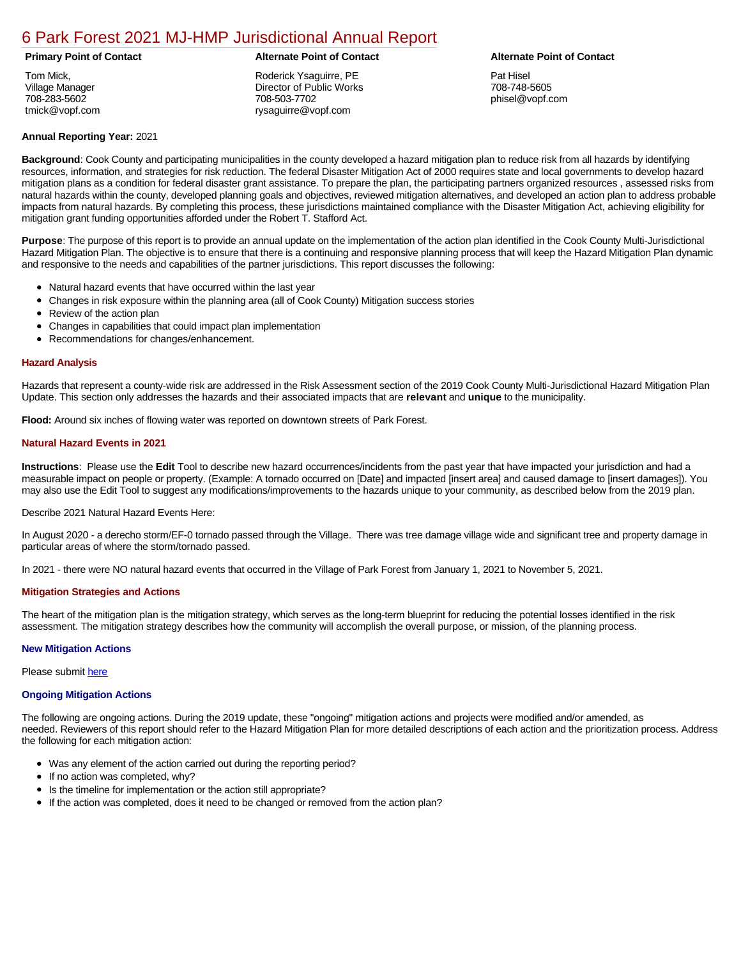### [6 Park Forest 2021 MJ-HMP Jurisdictional Annual Report](https://parkforest.isc-cemp.com/Cemp/Details?id=8322864)

Tom Mick, Village Manager 708-283-5602 tmick@vopf.com

Roderick Ysaguirre, PE Director of Public Works 708-503-7702 rysaguirre@vopf.com

### **Primary Point of Contact Alternate Point of Contact Alternate Point of Contact**

Pat Hisel 708-748-5605 phisel@vopf.com

### **Annual Reporting Year:** 2021

**Background**: Cook County and participating municipalities in the county developed a hazard mitigation plan to reduce risk from all hazards by identifying resources, information, and strategies for risk reduction. The federal Disaster Mitigation Act of 2000 requires state and local governments to develop hazard mitigation plans as a condition for federal disaster grant assistance. To prepare the plan, the participating partners organized resources , assessed risks from natural hazards within the county, developed planning goals and objectives, reviewed mitigation alternatives, and developed an action plan to address probable impacts from natural hazards. By completing this process, these jurisdictions maintained compliance with the Disaster Mitigation Act, achieving eligibility for mitigation grant funding opportunities afforded under the Robert T. Stafford Act.

**Purpose**: The purpose of this report is to provide an annual update on the implementation of the action plan identified in the Cook County Multi-Jurisdictional Hazard Mitigation Plan. The objective is to ensure that there is a continuing and responsive planning process that will keep the Hazard Mitigation Plan dynamic and responsive to the needs and capabilities of the partner jurisdictions. This report discusses the following:

- Natural hazard events that have occurred within the last year
- Changes in risk exposure within the planning area (all of Cook County) Mitigation success stories
- Review of the action plan  $\bullet$
- $\bullet$ Changes in capabilities that could impact plan implementation
- Recommendations for changes/enhancement.  $\bullet$

### **Hazard Analysis**

Hazards that represent a county-wide risk are addressed in the Risk Assessment section of the 2019 Cook County Multi-Jurisdictional Hazard Mitigation Plan Update. This section only addresses the hazards and their associated impacts that are **relevant** and **unique** to the municipality.

**Flood:** Around six inches of flowing water was reported on downtown streets of Park Forest.

### **Natural Hazard Events in 2021**

**Instructions**: Please use the **Edit** Tool to describe new hazard occurrences/incidents from the past year that have impacted your jurisdiction and had a measurable impact on people or property. (Example: A tornado occurred on [Date] and impacted [insert area] and caused damage to [insert damages]). You may also use the Edit Tool to suggest any modifications/improvements to the hazards unique to your community, as described below from the 2019 plan.

Describe 2021 Natural Hazard Events Here:

In August 2020 - a derecho storm/EF-0 tornado passed through the Village. There was tree damage village wide and significant tree and property damage in particular areas of where the storm/tornado passed.

In 2021 - there were NO natural hazard events that occurred in the Village of Park Forest from January 1, 2021 to November 5, 2021.

#### **Mitigation Strategies and Actions**

The heart of the mitigation plan is the mitigation strategy, which serves as the long-term blueprint for reducing the potential losses identified in the risk assessment. The mitigation strategy describes how the community will accomplish the overall purpose, or mission, of the planning process.

#### **New Mitigation Actions**

Please submit [here](https://integratedsolutions.wufoo.com/forms/mg21jvf0jn639o/)

#### **Ongoing Mitigation Actions**

The following are ongoing actions. During the 2019 update, these "ongoing" mitigation actions and projects were modified and/or amended, as needed. Reviewers of this report should refer to the Hazard Mitigation Plan for more detailed descriptions of each action and the prioritization process. Address the following for each mitigation action:

- Was any element of the action carried out during the reporting period?
- If no action was completed, why?
- Is the timeline for implementation or the action still appropriate?
- If the action was completed, does it need to be changed or removed from the action plan?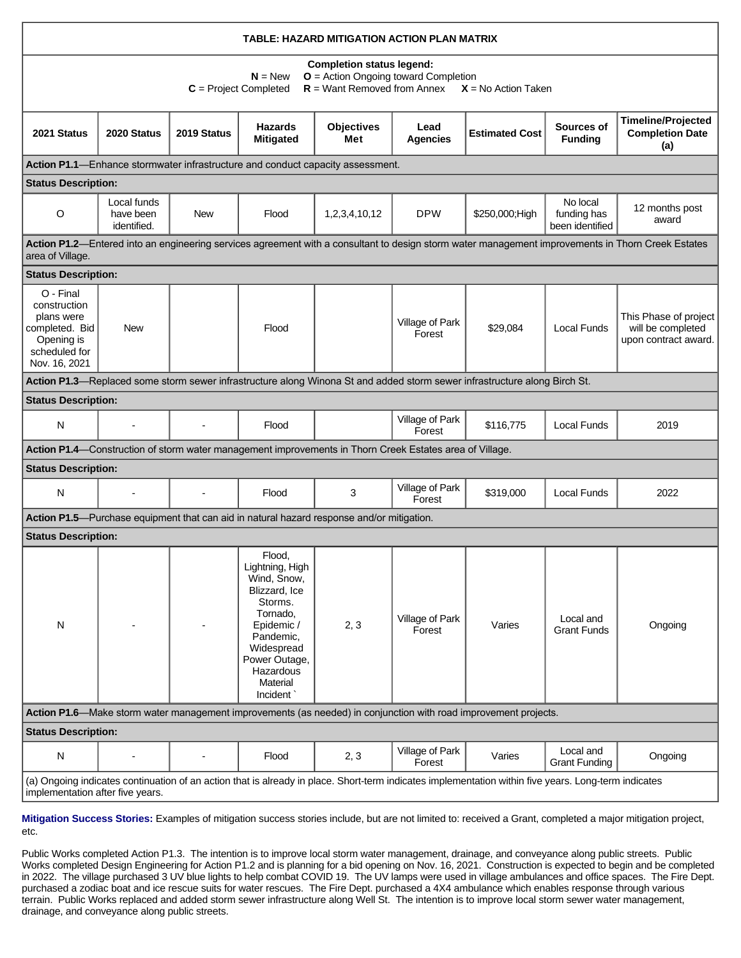| TABLE: HAZARD MITIGATION ACTION PLAN MATRIX                                                                                                                                              |                                                                                                                                                                           |             |                                                                                                                                                                                 |                                                                                                         |                           |                                                                                                                           |                                            |                                                                                                                                                   |
|------------------------------------------------------------------------------------------------------------------------------------------------------------------------------------------|---------------------------------------------------------------------------------------------------------------------------------------------------------------------------|-------------|---------------------------------------------------------------------------------------------------------------------------------------------------------------------------------|---------------------------------------------------------------------------------------------------------|---------------------------|---------------------------------------------------------------------------------------------------------------------------|--------------------------------------------|---------------------------------------------------------------------------------------------------------------------------------------------------|
|                                                                                                                                                                                          | <b>Completion status legend:</b><br>$O =$ Action Ongoing toward Completion<br>$N = New$<br>$R =$ Want Removed from Annex $X =$ No Action Taken<br>$C = Project Completed$ |             |                                                                                                                                                                                 |                                                                                                         |                           |                                                                                                                           |                                            |                                                                                                                                                   |
| 2021 Status                                                                                                                                                                              | 2020 Status                                                                                                                                                               | 2019 Status | <b>Hazards</b><br><b>Mitigated</b>                                                                                                                                              | <b>Objectives</b><br>Met                                                                                | Lead<br><b>Agencies</b>   | <b>Estimated Cost</b>                                                                                                     | Sources of<br><b>Funding</b>               | <b>Timeline/Projected</b><br><b>Completion Date</b><br>(a)                                                                                        |
|                                                                                                                                                                                          |                                                                                                                                                                           |             |                                                                                                                                                                                 | Action P1.1—Enhance stormwater infrastructure and conduct capacity assessment.                          |                           |                                                                                                                           |                                            |                                                                                                                                                   |
| <b>Status Description:</b>                                                                                                                                                               |                                                                                                                                                                           |             |                                                                                                                                                                                 |                                                                                                         |                           |                                                                                                                           |                                            |                                                                                                                                                   |
| $\circ$                                                                                                                                                                                  | Local funds<br>have been<br>identified.                                                                                                                                   | <b>New</b>  | Flood                                                                                                                                                                           | 1,2,3,4,10,12                                                                                           | <b>DPW</b>                | \$250,000;High                                                                                                            | No local<br>funding has<br>been identified | 12 months post<br>award                                                                                                                           |
| area of Village.                                                                                                                                                                         |                                                                                                                                                                           |             |                                                                                                                                                                                 |                                                                                                         |                           |                                                                                                                           |                                            | Action P1.2-Entered into an engineering services agreement with a consultant to design storm water management improvements in Thorn Creek Estates |
| <b>Status Description:</b>                                                                                                                                                               |                                                                                                                                                                           |             |                                                                                                                                                                                 |                                                                                                         |                           |                                                                                                                           |                                            |                                                                                                                                                   |
| O - Final<br>construction<br>plans were<br>completed. Bid<br>Opening is<br>scheduled for<br>Nov. 16, 2021                                                                                | <b>New</b>                                                                                                                                                                |             | Flood                                                                                                                                                                           |                                                                                                         | Village of Park<br>Forest | \$29,084                                                                                                                  | Local Funds                                | This Phase of project<br>will be completed<br>upon contract award.                                                                                |
|                                                                                                                                                                                          |                                                                                                                                                                           |             |                                                                                                                                                                                 |                                                                                                         |                           | Action P1.3-Replaced some storm sewer infrastructure along Winona St and added storm sewer infrastructure along Birch St. |                                            |                                                                                                                                                   |
| <b>Status Description:</b>                                                                                                                                                               |                                                                                                                                                                           |             |                                                                                                                                                                                 |                                                                                                         |                           |                                                                                                                           |                                            |                                                                                                                                                   |
| N                                                                                                                                                                                        |                                                                                                                                                                           |             | Flood                                                                                                                                                                           |                                                                                                         | Village of Park<br>Forest | \$116,775                                                                                                                 | <b>Local Funds</b>                         | 2019                                                                                                                                              |
|                                                                                                                                                                                          |                                                                                                                                                                           |             |                                                                                                                                                                                 | Action P1.4—Construction of storm water management improvements in Thorn Creek Estates area of Village. |                           |                                                                                                                           |                                            |                                                                                                                                                   |
| <b>Status Description:</b>                                                                                                                                                               |                                                                                                                                                                           |             |                                                                                                                                                                                 |                                                                                                         |                           |                                                                                                                           |                                            |                                                                                                                                                   |
| N                                                                                                                                                                                        |                                                                                                                                                                           |             | Flood                                                                                                                                                                           | 3                                                                                                       | Village of Park<br>Forest | \$319,000                                                                                                                 | <b>Local Funds</b>                         | 2022                                                                                                                                              |
|                                                                                                                                                                                          |                                                                                                                                                                           |             |                                                                                                                                                                                 | Action P1.5-Purchase equipment that can aid in natural hazard response and/or mitigation.               |                           |                                                                                                                           |                                            |                                                                                                                                                   |
| <b>Status Description:</b>                                                                                                                                                               |                                                                                                                                                                           |             |                                                                                                                                                                                 |                                                                                                         |                           |                                                                                                                           |                                            |                                                                                                                                                   |
| N                                                                                                                                                                                        |                                                                                                                                                                           |             | Flood.<br>Lightning, High<br>Wind, Snow,<br>Blizzard, Ice<br>Storms.<br>Tornado,<br>Epidemic /<br>Pandemic,<br>Widespread<br>Power Outage,<br>Hazardous<br>Material<br>Incident | 2, 3                                                                                                    | Village of Park<br>Forest | Varies                                                                                                                    | Local and<br><b>Grant Funds</b>            | Ongoing                                                                                                                                           |
|                                                                                                                                                                                          | Action P1.6—Make storm water management improvements (as needed) in conjunction with road improvement projects.                                                           |             |                                                                                                                                                                                 |                                                                                                         |                           |                                                                                                                           |                                            |                                                                                                                                                   |
| <b>Status Description:</b>                                                                                                                                                               |                                                                                                                                                                           |             |                                                                                                                                                                                 |                                                                                                         |                           |                                                                                                                           |                                            |                                                                                                                                                   |
| N                                                                                                                                                                                        | $\overline{a}$                                                                                                                                                            |             | Flood                                                                                                                                                                           | 2, 3                                                                                                    | Village of Park<br>Forest | Varies                                                                                                                    | Local and<br><b>Grant Funding</b>          | Ongoing                                                                                                                                           |
| (a) Ongoing indicates continuation of an action that is already in place. Short-term indicates implementation within five years. Long-term indicates<br>implementation after five years. |                                                                                                                                                                           |             |                                                                                                                                                                                 |                                                                                                         |                           |                                                                                                                           |                                            |                                                                                                                                                   |

**Mitigation Success Stories:** Examples of mitigation success stories include, but are not limited to: received a Grant, completed a major mitigation project, etc.

Public Works completed Action P1.3. The intention is to improve local storm water management, drainage, and conveyance along public streets. Public Works completed Design Engineering for Action P1.2 and is planning for a bid opening on Nov. 16, 2021. Construction is expected to begin and be completed in 2022. The village purchased 3 UV blue lights to help combat COVID 19. The UV lamps were used in village ambulances and office spaces. The Fire Dept. purchased a zodiac boat and ice rescue suits for water rescues. The Fire Dept. purchased a 4X4 ambulance which enables response through various terrain. Public Works replaced and added storm sewer infrastructure along Well St. The intention is to improve local storm sewer water management, drainage, and conveyance along public streets.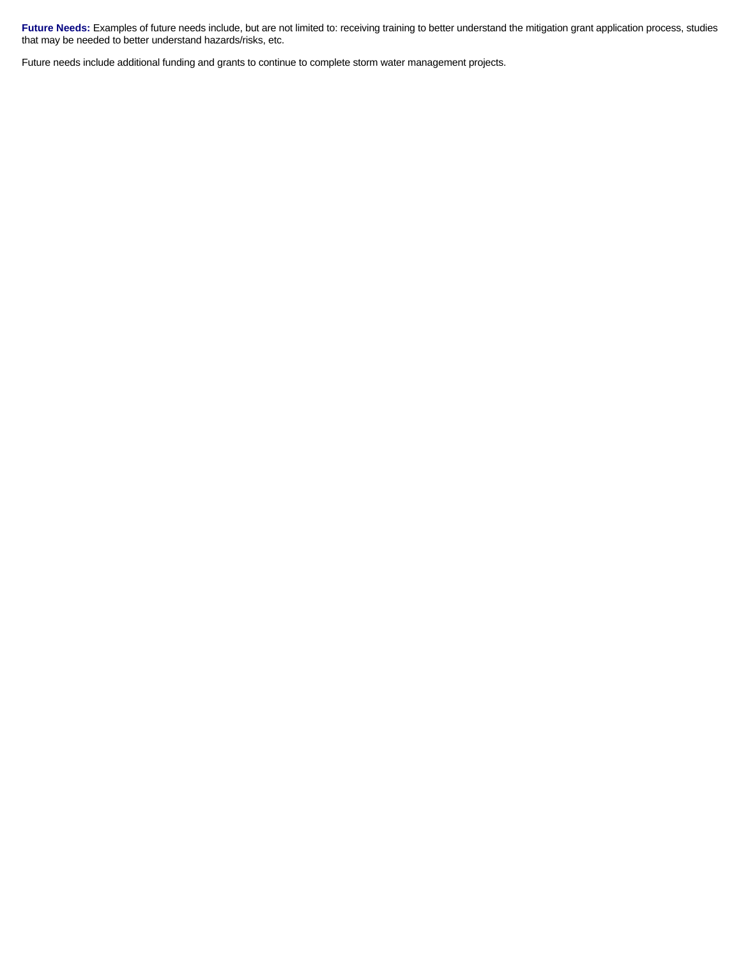Future Needs: Examples of future needs include, but are not limited to: receiving training to better understand the mitigation grant application process, studies that may be needed to better understand hazards/risks, etc.

Future needs include additional funding and grants to continue to complete storm water management projects.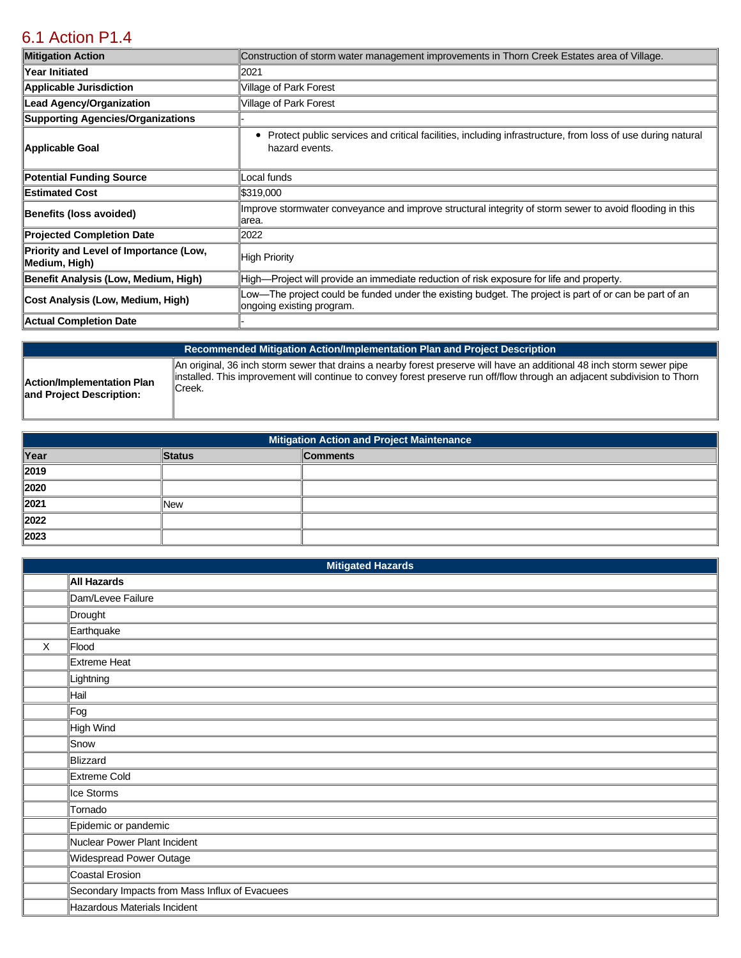## [6.1 Action P1.4](https://parkforest.isc-cemp.com/Cemp/Details?id=8334906)

| <b>Mitigation Action</b>                                | Construction of storm water management improvements in Thorn Creek Estates area of Village.                                                     |  |  |
|---------------------------------------------------------|-------------------------------------------------------------------------------------------------------------------------------------------------|--|--|
| Year Initiated                                          | 2021                                                                                                                                            |  |  |
| <b>Applicable Jurisdiction</b>                          | Village of Park Forest                                                                                                                          |  |  |
| <b>Lead Agency/Organization</b>                         | Village of Park Forest                                                                                                                          |  |  |
| <b>Supporting Agencies/Organizations</b>                |                                                                                                                                                 |  |  |
| Applicable Goal                                         | Protect public services and critical facilities, including infrastructure, from loss of use during natural<br>٠<br>hazard events.               |  |  |
| <b>Potential Funding Source</b>                         | Local funds                                                                                                                                     |  |  |
| <b>Estimated Cost</b>                                   | \$319,000                                                                                                                                       |  |  |
| <b>Benefits (loss avoided)</b>                          | Improve stormwater conveyance and improve structural integrity of storm sewer to avoid flooding in this<br>larea.                               |  |  |
| <b>Projected Completion Date</b>                        | 2022                                                                                                                                            |  |  |
| Priority and Level of Importance (Low,<br>Medium, High) | High Priority                                                                                                                                   |  |  |
| Benefit Analysis (Low, Medium, High)                    | High—Project will provide an immediate reduction of risk exposure for life and property.                                                        |  |  |
| Cost Analysis (Low, Medium, High)                       | $\parallel$ Low—The project could be funded under the existing budget. The project is part of or can be part of an<br>ongoing existing program. |  |  |
| <b>Actual Completion Date</b>                           |                                                                                                                                                 |  |  |

**Action/Implementation Plan and Project Description:** 

**Recommended Mitigation Action/Implementation Plan and Project Description**

An original, 36 inch storm sewer that drains a nearby forest preserve will have an additional 48 inch storm sewer pipe installed. This improvement will continue to convey forest preserve run off/flow through an adjacent subdivision to Thorn Creek.

| <b>Mitigation Action and Project Maintenance</b> |               |                 |
|--------------------------------------------------|---------------|-----------------|
| Year                                             | <b>Status</b> | <b>Comments</b> |
| 2019                                             |               |                 |
| 2020                                             |               |                 |
| 2021                                             | <b>New</b>    |                 |
| 2022                                             |               |                 |
| 2023                                             |               |                 |

| <b>Mitigated Hazards</b> |                                                |  |
|--------------------------|------------------------------------------------|--|
|                          | All Hazards                                    |  |
|                          | Dam/Levee Failure                              |  |
|                          | Drought                                        |  |
|                          | Earthquake                                     |  |
| X                        | Flood                                          |  |
|                          | Extreme Heat                                   |  |
|                          | Lightning                                      |  |
|                          | Hail                                           |  |
|                          | ⊩Fog                                           |  |
|                          | High Wind                                      |  |
|                          | Snow                                           |  |
|                          | Blizzard                                       |  |
|                          | Extreme Cold                                   |  |
|                          | Ice Storms                                     |  |
|                          | Tornado                                        |  |
|                          | Epidemic or pandemic                           |  |
|                          | Nuclear Power Plant Incident                   |  |
|                          | Widespread Power Outage                        |  |
|                          | Coastal Erosion                                |  |
|                          | Secondary Impacts from Mass Influx of Evacuees |  |
|                          | Hazardous Materials Incident                   |  |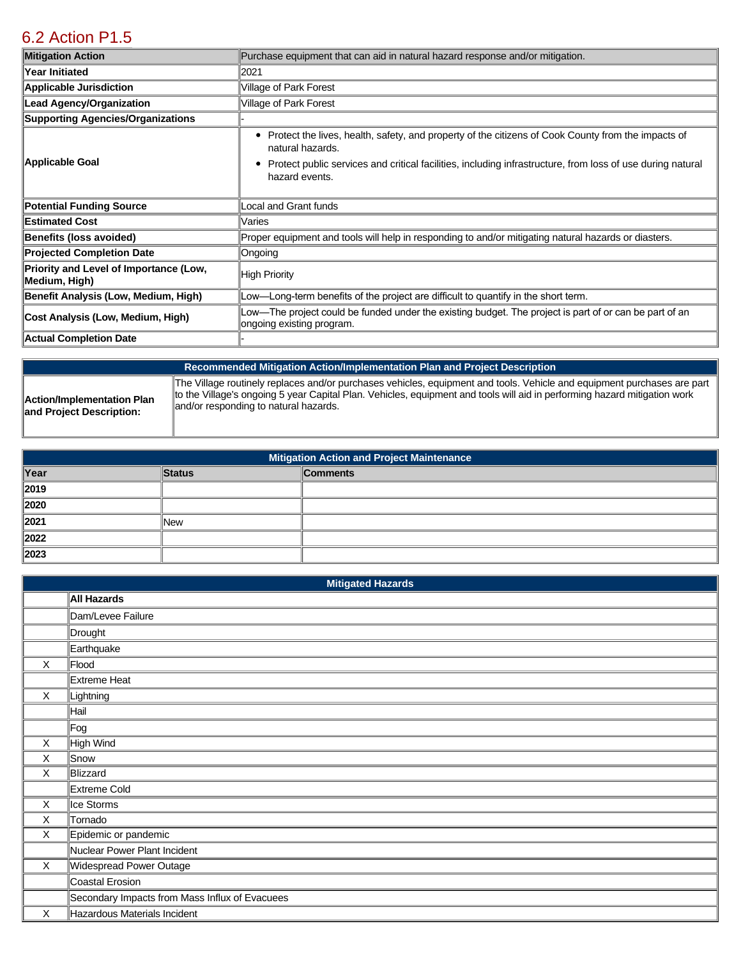## [6.2 Action P1.5](https://parkforest.isc-cemp.com/Cemp/Details?id=8334907)

| <b>Mitigation Action</b>                                | Purchase equipment that can aid in natural hazard response and/or mitigation.                                                                                                                                                                               |  |
|---------------------------------------------------------|-------------------------------------------------------------------------------------------------------------------------------------------------------------------------------------------------------------------------------------------------------------|--|
| Year Initiated                                          | 2021                                                                                                                                                                                                                                                        |  |
| <b>Applicable Jurisdiction</b>                          | Village of Park Forest                                                                                                                                                                                                                                      |  |
| <b>Lead Agency/Organization</b>                         | Village of Park Forest                                                                                                                                                                                                                                      |  |
| <b>Supporting Agencies/Organizations</b>                |                                                                                                                                                                                                                                                             |  |
| Applicable Goal                                         | Protect the lives, health, safety, and property of the citizens of Cook County from the impacts of<br>٠<br>natural hazards.<br>Protect public services and critical facilities, including infrastructure, from loss of use during natural<br>hazard events. |  |
| <b>Potential Funding Source</b>                         | Local and Grant funds                                                                                                                                                                                                                                       |  |
| <b>Estimated Cost</b>                                   | Varies                                                                                                                                                                                                                                                      |  |
| <b>Benefits (loss avoided)</b>                          | Proper equipment and tools will help in responding to and/or mitigating natural hazards or diasters.                                                                                                                                                        |  |
| <b>Projected Completion Date</b>                        | Ongoing                                                                                                                                                                                                                                                     |  |
| Priority and Level of Importance (Low,<br>Medium, High) | <b>High Priority</b>                                                                                                                                                                                                                                        |  |
| Benefit Analysis (Low, Medium, High)                    | Low—Long-term benefits of the project are difficult to quantify in the short term.                                                                                                                                                                          |  |
| Cost Analysis (Low, Medium, High)                       | Low—The project could be funded under the existing budget. The project is part of or can be part of an<br>ongoing existing program.                                                                                                                         |  |
| <b>Actual Completion Date</b>                           |                                                                                                                                                                                                                                                             |  |

**Recommended Mitigation Action/Implementation Plan and Project Description Action/Implementation Plan and Project Description:**  The Village routinely replaces and/or purchases vehicles, equipment and tools. Vehicle and equipment purchases are part to the Village's ongoing 5 year Capital Plan. Vehicles, equipment and tools will aid in performing hazard mitigation work and/or responding to natural hazards.

| <b>Mitigation Action and Project Maintenance</b> |               |                 |
|--------------------------------------------------|---------------|-----------------|
| Year                                             | <b>Status</b> | <b>Comments</b> |
| 2019                                             |               |                 |
| 2020                                             |               |                 |
| 2021                                             | <b>New</b>    |                 |
| 2022                                             |               |                 |
| 2023                                             |               |                 |

|          | <b>Mitigated Hazards</b>                       |  |  |
|----------|------------------------------------------------|--|--|
|          | All Hazards                                    |  |  |
|          | Dam/Levee Failure                              |  |  |
|          | Drought                                        |  |  |
|          | Earthquake                                     |  |  |
| $\times$ | Flood                                          |  |  |
|          | Extreme Heat                                   |  |  |
| X        | Lightning                                      |  |  |
|          | Hail                                           |  |  |
|          | ∥Fog                                           |  |  |
| X        | High Wind                                      |  |  |
| X        | Snow                                           |  |  |
| X        | Blizzard                                       |  |  |
|          | Extreme Cold                                   |  |  |
| X        | Ice Storms                                     |  |  |
| X        | Tornado                                        |  |  |
| X        | Epidemic or pandemic                           |  |  |
|          | Nuclear Power Plant Incident                   |  |  |
| X        | Widespread Power Outage                        |  |  |
|          | Coastal Erosion                                |  |  |
|          | Secondary Impacts from Mass Influx of Evacuees |  |  |
| X        | Hazardous Materials Incident                   |  |  |